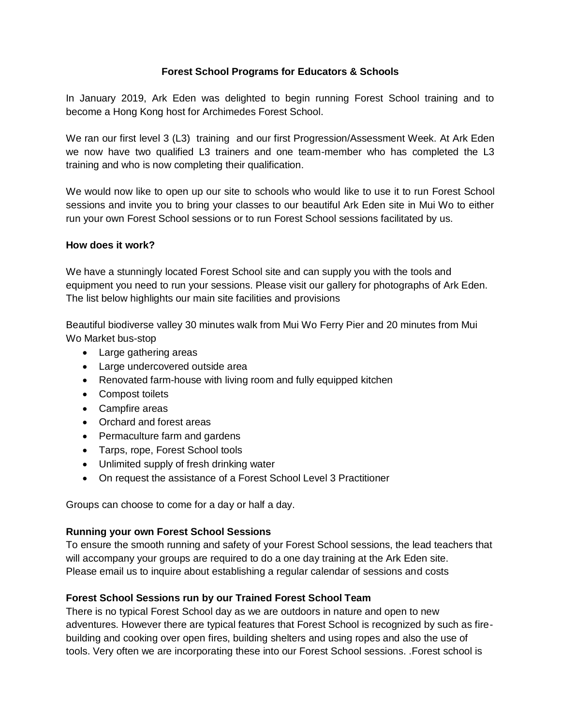## **Forest School Programs for Educators & Schools**

In January 2019, Ark Eden was delighted to begin running Forest School training and to become a Hong Kong host for Archimedes Forest School.

We ran our first level 3 (L3) training and our first Progression/Assessment Week. At Ark Eden we now have two qualified L3 trainers and one team-member who has completed the L3 training and who is now completing their qualification.

We would now like to open up our site to schools who would like to use it to run Forest School sessions and invite you to bring your classes to our beautiful Ark Eden site in Mui Wo to either run your own Forest School sessions or to run Forest School sessions facilitated by us.

## **How does it work?**

We have a stunningly located Forest School site and can supply you with the tools and equipment you need to run your sessions. Please visit our gallery for photographs of Ark Eden. The list below highlights our main site facilities and provisions

Beautiful biodiverse valley 30 minutes walk from Mui Wo Ferry Pier and 20 minutes from Mui Wo Market bus-stop

- Large gathering areas
- Large undercovered outside area
- Renovated farm-house with living room and fully equipped kitchen
- Compost toilets
- Campfire areas
- Orchard and forest areas
- Permaculture farm and gardens
- Tarps, rope, Forest School tools
- Unlimited supply of fresh drinking water
- On request the assistance of a Forest School Level 3 Practitioner

Groups can choose to come for a day or half a day.

## **Running your own Forest School Sessions**

To ensure the smooth running and safety of your Forest School sessions, the lead teachers that will accompany your groups are required to do a one day training at the Ark Eden site. Please email us to inquire about establishing a regular calendar of sessions and costs

## **Forest School Sessions run by our Trained Forest School Team**

There is no typical Forest School day as we are outdoors in nature and open to new adventures. However there are typical features that Forest School is recognized by such as firebuilding and cooking over open fires, building shelters and using ropes and also the use of tools. Very often we are incorporating these into our Forest School sessions. .Forest school is